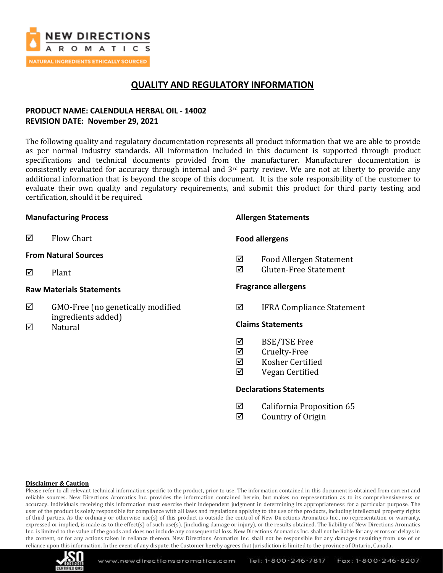

## **QUALITY AND REGULATORY INFORMATION**

## **PRODUCT NAME: CALENDULA HERBAL OIL - 14002 REVISION DATE: November 29, 2021**

The following quality and regulatory documentation represents all product information that we are able to provide as per normal industry standards. All information included in this document is supported through product specifications and technical documents provided from the manufacturer. Manufacturer documentation is consistently evaluated for accuracy through internal and  $3<sup>rd</sup>$  party review. We are not at liberty to provide any additional information that is beyond the scope of this document. It is the sole responsibility of the customer to evaluate their own quality and regulatory requirements, and submit this product for third party testing and certification, should it be required.

### **Manufacturing Process**

 $\boxtimes$  Flow Chart

### **From Natural Sources**

 $\nabla$  Plant

### **Raw Materials Statements**

- $\boxtimes$  GMO-Free (no genetically modified ingredients added)
- $\nabla$  Natural

### **Allergen Statements**

### **Food allergens**

- Food Allergen Statement
- $\overline{M}$  Gluten-Free Statement

### **Fragrance allergens**

IFRA Compliance Statement

### **Claims Statements**

- $\boxtimes$  BSE/TSE Free
- **☑** Cruelty-Free
- Kosher Certified
- $\boxtimes$  Vegan Certified

### **Declarations Statements**

- $\boxtimes$  California Proposition 65
- $\boxtimes$  Country of Origin

#### **Disclaimer & Caution**

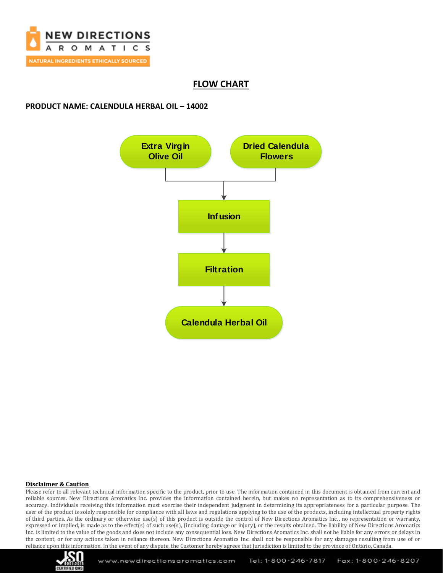

## **FLOW CHART**

## **PRODUCT NAME: CALENDULA HERBAL OIL – 14002**



#### **Disclaimer & Caution**

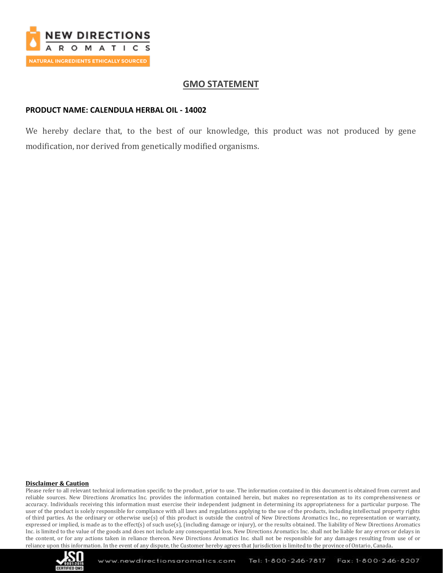

## **GMO STATEMENT**

### **PRODUCT NAME: CALENDULA HERBAL OIL - 14002**

We hereby declare that, to the best of our knowledge, this product was not produced by gene modification, nor derived from genetically modified organisms.

#### **Disclaimer & Caution**

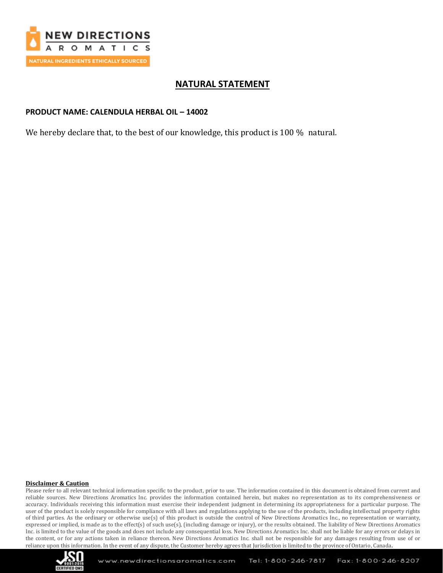

## **NATURAL STATEMENT**

## **PRODUCT NAME: CALENDULA HERBAL OIL – 14002**

We hereby declare that, to the best of our knowledge, this product is 100 % natural.

#### **Disclaimer & Caution**

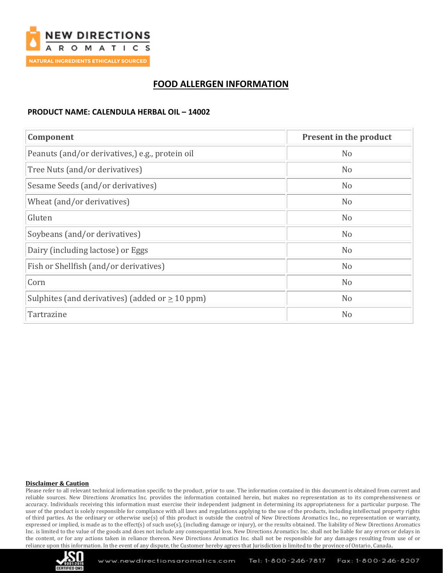

## **FOOD ALLERGEN INFORMATION**

## **PRODUCT NAME: CALENDULA HERBAL OIL – 14002**

| Component                                            | <b>Present in the product</b> |
|------------------------------------------------------|-------------------------------|
| Peanuts (and/or derivatives,) e.g., protein oil      | N <sub>o</sub>                |
| Tree Nuts (and/or derivatives)                       | N <sub>o</sub>                |
| Sesame Seeds (and/or derivatives)                    | N <sub>o</sub>                |
| Wheat (and/or derivatives)                           | N <sub>o</sub>                |
| Gluten                                               | N <sub>o</sub>                |
| Soybeans (and/or derivatives)                        | N <sub>o</sub>                |
| Dairy (including lactose) or Eggs                    | N <sub>o</sub>                |
| Fish or Shellfish (and/or derivatives)               | N <sub>o</sub>                |
| Corn                                                 | N <sub>o</sub>                |
| Sulphites (and derivatives) (added or $\geq 10$ ppm) | N <sub>o</sub>                |
| Tartrazine                                           | N <sub>o</sub>                |

#### **Disclaimer & Caution**

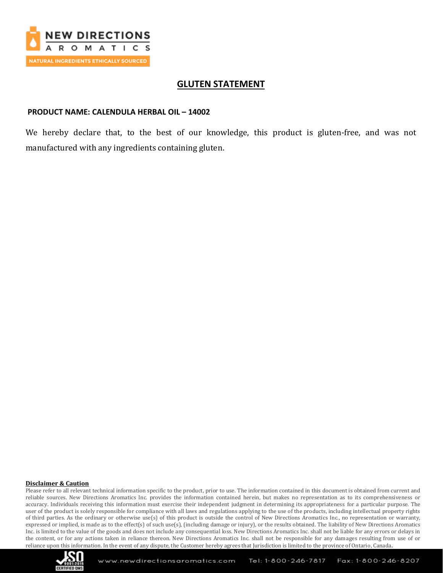

## **GLUTEN STATEMENT**

### **PRODUCT NAME: CALENDULA HERBAL OIL – 14002**

We hereby declare that, to the best of our knowledge, this product is gluten-free, and was not manufactured with any ingredients containing gluten.

#### **Disclaimer & Caution**

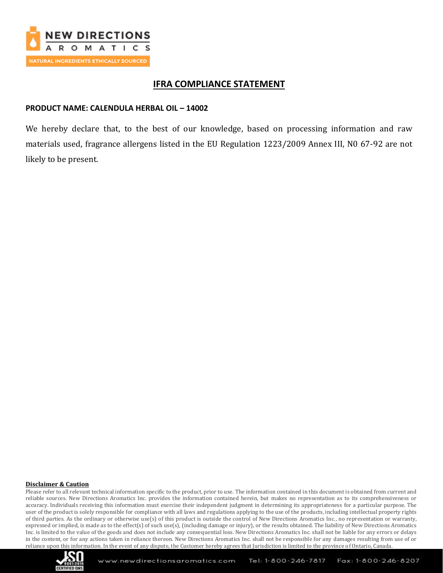

## **IFRA COMPLIANCE STATEMENT**

## **PRODUCT NAME: CALENDULA HERBAL OIL – 14002**

We hereby declare that, to the best of our knowledge, based on processing information and raw materials used, fragrance allergens listed in the EU Regulation 1223/2009 Annex III, N0 67-92 are not likely to be present.

#### **Disclaimer & Caution**

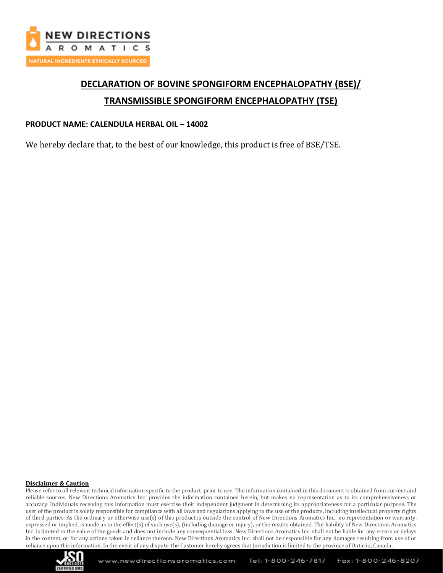

# **DECLARATION OF BOVINE SPONGIFORM ENCEPHALOPATHY (BSE)/ TRANSMISSIBLE SPONGIFORM ENCEPHALOPATHY (TSE)**

### **PRODUCT NAME: CALENDULA HERBAL OIL – 14002**

We hereby declare that, to the best of our knowledge, this product is free of BSE/TSE.

#### **Disclaimer & Caution**

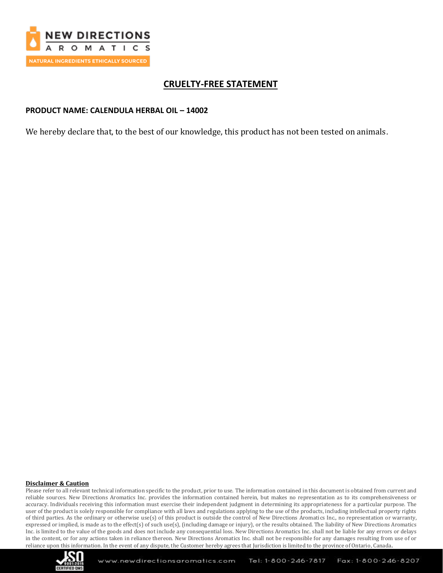

## **CRUELTY-FREE STATEMENT**

### **PRODUCT NAME: CALENDULA HERBAL OIL – 14002**

We hereby declare that, to the best of our knowledge, this product has not been tested on animals.

#### **Disclaimer & Caution**

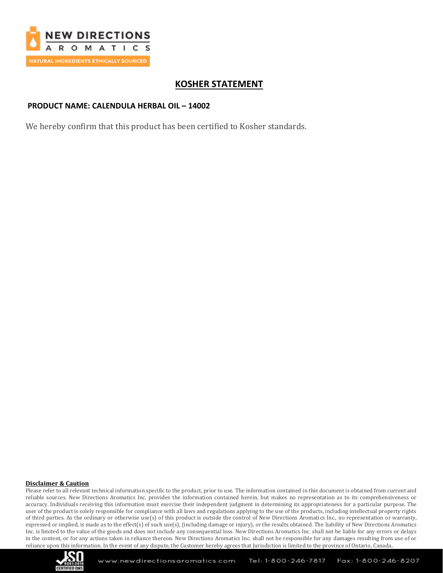

## **KOSHER STATEMENT**

## **PRODUCT NAME: CALENDULA HERBAL OIL – 14002**

We hereby confirm that this product has been certified to Kosher standards.

#### **Disclaimer & Caution**

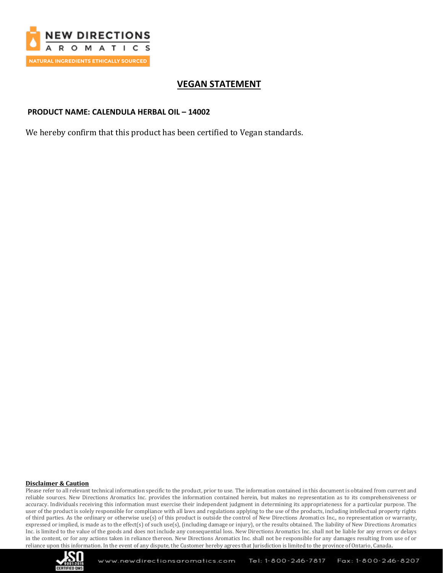

## **VEGAN STATEMENT**

## **PRODUCT NAME: CALENDULA HERBAL OIL – 14002**

We hereby confirm that this product has been certified to Vegan standards.

#### **Disclaimer & Caution**

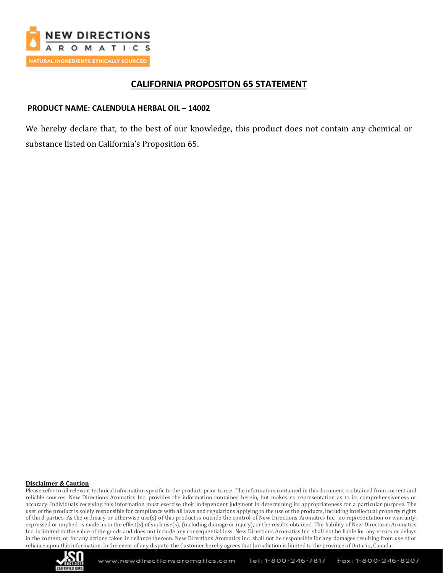

## **CALIFORNIA PROPOSITON 65 STATEMENT**

## **PRODUCT NAME: CALENDULA HERBAL OIL – 14002**

We hereby declare that, to the best of our knowledge, this product does not contain any chemical or substance listed on California's Proposition 65.

#### **Disclaimer & Caution**